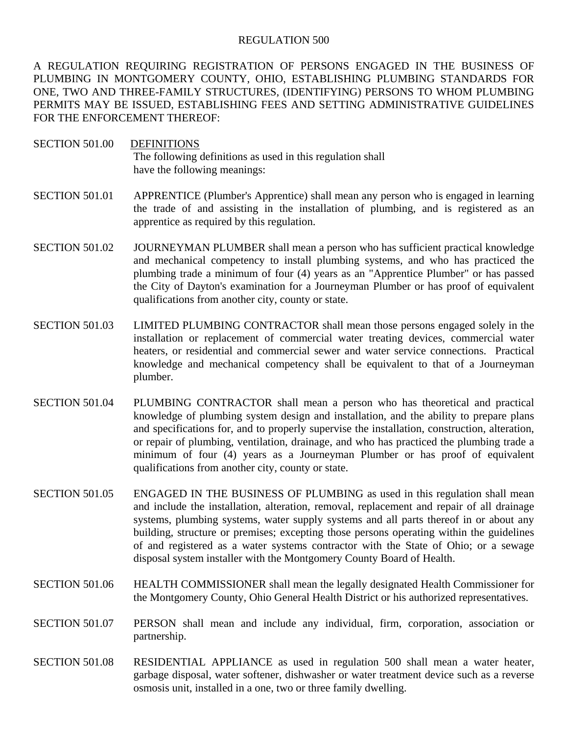## REGULATION 500

A REGULATION REQUIRING REGISTRATION OF PERSONS ENGAGED IN THE BUSINESS OF PLUMBING IN MONTGOMERY COUNTY, OHIO, ESTABLISHING PLUMBING STANDARDS FOR ONE, TWO AND THREE-FAMILY STRUCTURES, (IDENTIFYING) PERSONS TO WHOM PLUMBING PERMITS MAY BE ISSUED, ESTABLISHING FEES AND SETTING ADMINISTRATIVE GUIDELINES FOR THE ENFORCEMENT THEREOF:

- SECTION 501.00 DEFINITIONS The following definitions as used in this regulation shall have the following meanings:
- SECTION 501.01 APPRENTICE (Plumber's Apprentice) shall mean any person who is engaged in learning the trade of and assisting in the installation of plumbing, and is registered as an apprentice as required by this regulation.
- SECTION 501.02 JOURNEYMAN PLUMBER shall mean a person who has sufficient practical knowledge and mechanical competency to install plumbing systems, and who has practiced the plumbing trade a minimum of four (4) years as an "Apprentice Plumber" or has passed the City of Dayton's examination for a Journeyman Plumber or has proof of equivalent qualifications from another city, county or state.
- SECTION 501.03 LIMITED PLUMBING CONTRACTOR shall mean those persons engaged solely in the installation or replacement of commercial water treating devices, commercial water heaters, or residential and commercial sewer and water service connections. Practical knowledge and mechanical competency shall be equivalent to that of a Journeyman plumber.
- SECTION 501.04 PLUMBING CONTRACTOR shall mean a person who has theoretical and practical knowledge of plumbing system design and installation, and the ability to prepare plans and specifications for, and to properly supervise the installation, construction, alteration, or repair of plumbing, ventilation, drainage, and who has practiced the plumbing trade a minimum of four (4) years as a Journeyman Plumber or has proof of equivalent qualifications from another city, county or state.
- SECTION 501.05 ENGAGED IN THE BUSINESS OF PLUMBING as used in this regulation shall mean and include the installation, alteration, removal, replacement and repair of all drainage systems, plumbing systems, water supply systems and all parts thereof in or about any building, structure or premises; excepting those persons operating within the guidelines of and registered as a water systems contractor with the State of Ohio; or a sewage disposal system installer with the Montgomery County Board of Health.
- SECTION 501.06 HEALTH COMMISSIONER shall mean the legally designated Health Commissioner for the Montgomery County, Ohio General Health District or his authorized representatives.
- SECTION 501.07 PERSON shall mean and include any individual, firm, corporation, association or partnership.
- SECTION 501.08 RESIDENTIAL APPLIANCE as used in regulation 500 shall mean a water heater, garbage disposal, water softener, dishwasher or water treatment device such as a reverse osmosis unit, installed in a one, two or three family dwelling.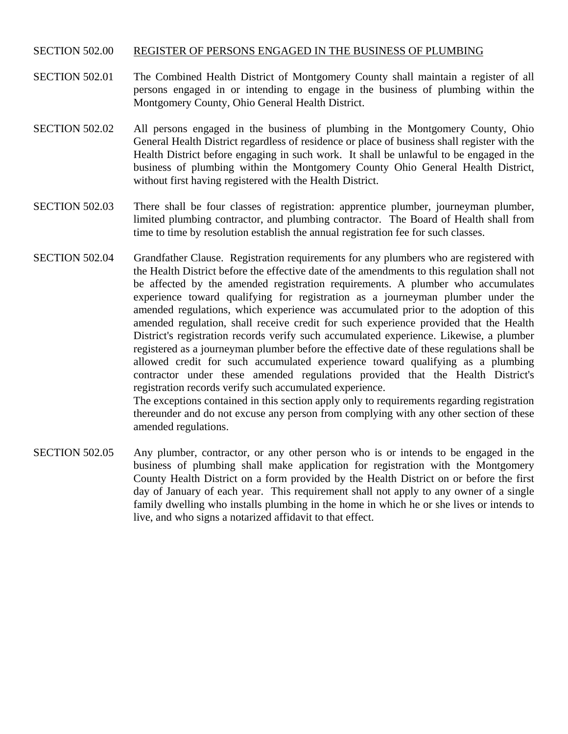## SECTION 502.00 REGISTER OF PERSONS ENGAGED IN THE BUSINESS OF PLUMBING

- SECTION 502.01 The Combined Health District of Montgomery County shall maintain a register of all persons engaged in or intending to engage in the business of plumbing within the Montgomery County, Ohio General Health District.
- SECTION 502.02 All persons engaged in the business of plumbing in the Montgomery County, Ohio General Health District regardless of residence or place of business shall register with the Health District before engaging in such work. It shall be unlawful to be engaged in the business of plumbing within the Montgomery County Ohio General Health District, without first having registered with the Health District.
- SECTION 502.03 There shall be four classes of registration: apprentice plumber, journeyman plumber, limited plumbing contractor, and plumbing contractor. The Board of Health shall from time to time by resolution establish the annual registration fee for such classes.
- SECTION 502.04 Grandfather Clause. Registration requirements for any plumbers who are registered with the Health District before the effective date of the amendments to this regulation shall not be affected by the amended registration requirements. A plumber who accumulates experience toward qualifying for registration as a journeyman plumber under the amended regulations, which experience was accumulated prior to the adoption of this amended regulation, shall receive credit for such experience provided that the Health District's registration records verify such accumulated experience. Likewise, a plumber registered as a journeyman plumber before the effective date of these regulations shall be allowed credit for such accumulated experience toward qualifying as a plumbing contractor under these amended regulations provided that the Health District's registration records verify such accumulated experience.

 The exceptions contained in this section apply only to requirements regarding registration thereunder and do not excuse any person from complying with any other section of these amended regulations.

SECTION 502.05 Any plumber, contractor, or any other person who is or intends to be engaged in the business of plumbing shall make application for registration with the Montgomery County Health District on a form provided by the Health District on or before the first day of January of each year. This requirement shall not apply to any owner of a single family dwelling who installs plumbing in the home in which he or she lives or intends to live, and who signs a notarized affidavit to that effect.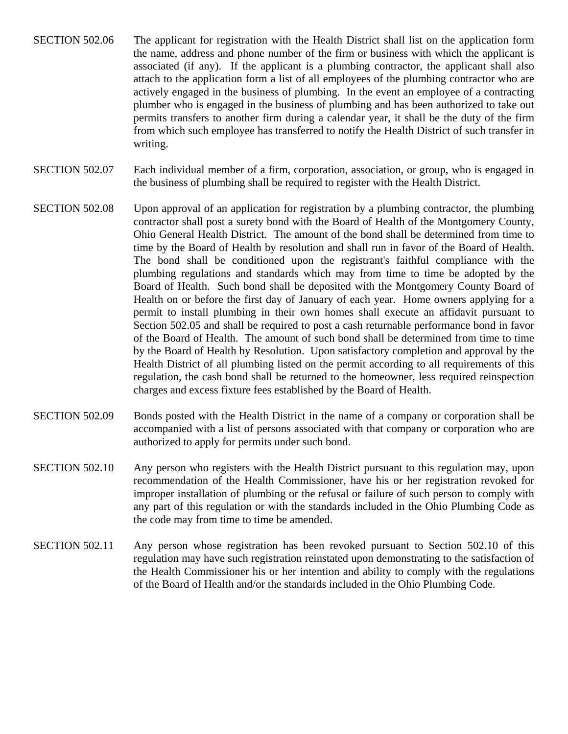- SECTION 502.06 The applicant for registration with the Health District shall list on the application form the name, address and phone number of the firm or business with which the applicant is associated (if any). If the applicant is a plumbing contractor, the applicant shall also attach to the application form a list of all employees of the plumbing contractor who are actively engaged in the business of plumbing. In the event an employee of a contracting plumber who is engaged in the business of plumbing and has been authorized to take out permits transfers to another firm during a calendar year, it shall be the duty of the firm from which such employee has transferred to notify the Health District of such transfer in writing.
- SECTION 502.07 Each individual member of a firm, corporation, association, or group, who is engaged in the business of plumbing shall be required to register with the Health District.
- SECTION 502.08 Upon approval of an application for registration by a plumbing contractor, the plumbing contractor shall post a surety bond with the Board of Health of the Montgomery County, Ohio General Health District. The amount of the bond shall be determined from time to time by the Board of Health by resolution and shall run in favor of the Board of Health. The bond shall be conditioned upon the registrant's faithful compliance with the plumbing regulations and standards which may from time to time be adopted by the Board of Health. Such bond shall be deposited with the Montgomery County Board of Health on or before the first day of January of each year. Home owners applying for a permit to install plumbing in their own homes shall execute an affidavit pursuant to Section 502.05 and shall be required to post a cash returnable performance bond in favor of the Board of Health. The amount of such bond shall be determined from time to time by the Board of Health by Resolution. Upon satisfactory completion and approval by the Health District of all plumbing listed on the permit according to all requirements of this regulation, the cash bond shall be returned to the homeowner, less required reinspection charges and excess fixture fees established by the Board of Health.
- SECTION 502.09 Bonds posted with the Health District in the name of a company or corporation shall be accompanied with a list of persons associated with that company or corporation who are authorized to apply for permits under such bond.
- SECTION 502.10 Any person who registers with the Health District pursuant to this regulation may, upon recommendation of the Health Commissioner, have his or her registration revoked for improper installation of plumbing or the refusal or failure of such person to comply with any part of this regulation or with the standards included in the Ohio Plumbing Code as the code may from time to time be amended.
- SECTION 502.11 Any person whose registration has been revoked pursuant to Section 502.10 of this regulation may have such registration reinstated upon demonstrating to the satisfaction of the Health Commissioner his or her intention and ability to comply with the regulations of the Board of Health and/or the standards included in the Ohio Plumbing Code.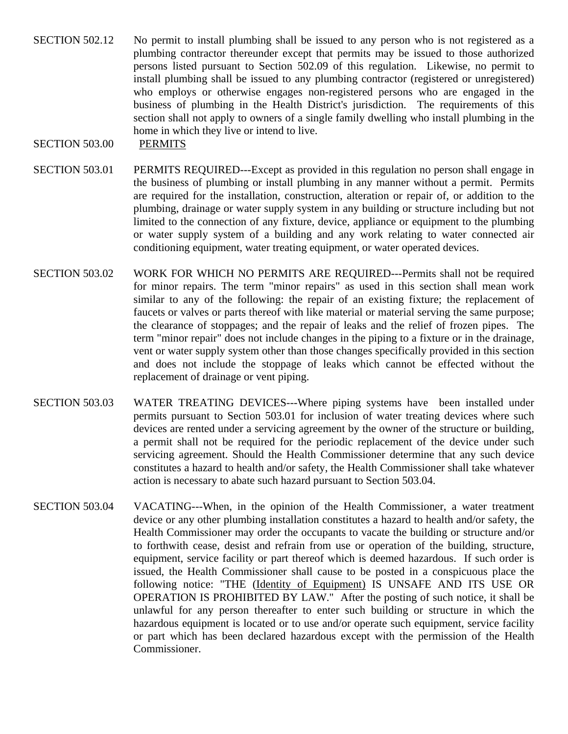SECTION 502.12 No permit to install plumbing shall be issued to any person who is not registered as a plumbing contractor thereunder except that permits may be issued to those authorized persons listed pursuant to Section 502.09 of this regulation. Likewise, no permit to install plumbing shall be issued to any plumbing contractor (registered or unregistered) who employs or otherwise engages non-registered persons who are engaged in the business of plumbing in the Health District's jurisdiction. The requirements of this section shall not apply to owners of a single family dwelling who install plumbing in the home in which they live or intend to live.

## SECTION 503.00 PERMITS

- SECTION 503.01 PERMITS REQUIRED---Except as provided in this regulation no person shall engage in the business of plumbing or install plumbing in any manner without a permit. Permits are required for the installation, construction, alteration or repair of, or addition to the plumbing, drainage or water supply system in any building or structure including but not limited to the connection of any fixture, device, appliance or equipment to the plumbing or water supply system of a building and any work relating to water connected air conditioning equipment, water treating equipment, or water operated devices.
- SECTION 503.02 WORK FOR WHICH NO PERMITS ARE REQUIRED---Permits shall not be required for minor repairs. The term "minor repairs" as used in this section shall mean work similar to any of the following: the repair of an existing fixture; the replacement of faucets or valves or parts thereof with like material or material serving the same purpose; the clearance of stoppages; and the repair of leaks and the relief of frozen pipes. The term "minor repair" does not include changes in the piping to a fixture or in the drainage, vent or water supply system other than those changes specifically provided in this section and does not include the stoppage of leaks which cannot be effected without the replacement of drainage or vent piping.
- SECTION 503.03 WATER TREATING DEVICES---Where piping systems have been installed under permits pursuant to Section 503.01 for inclusion of water treating devices where such devices are rented under a servicing agreement by the owner of the structure or building, a permit shall not be required for the periodic replacement of the device under such servicing agreement. Should the Health Commissioner determine that any such device constitutes a hazard to health and/or safety, the Health Commissioner shall take whatever action is necessary to abate such hazard pursuant to Section 503.04.
- SECTION 503.04 VACATING---When, in the opinion of the Health Commissioner, a water treatment device or any other plumbing installation constitutes a hazard to health and/or safety, the Health Commissioner may order the occupants to vacate the building or structure and/or to forthwith cease, desist and refrain from use or operation of the building, structure, equipment, service facility or part thereof which is deemed hazardous. If such order is issued, the Health Commissioner shall cause to be posted in a conspicuous place the following notice: "THE (Identity of Equipment) IS UNSAFE AND ITS USE OR OPERATION IS PROHIBITED BY LAW." After the posting of such notice, it shall be unlawful for any person thereafter to enter such building or structure in which the hazardous equipment is located or to use and/or operate such equipment, service facility or part which has been declared hazardous except with the permission of the Health Commissioner.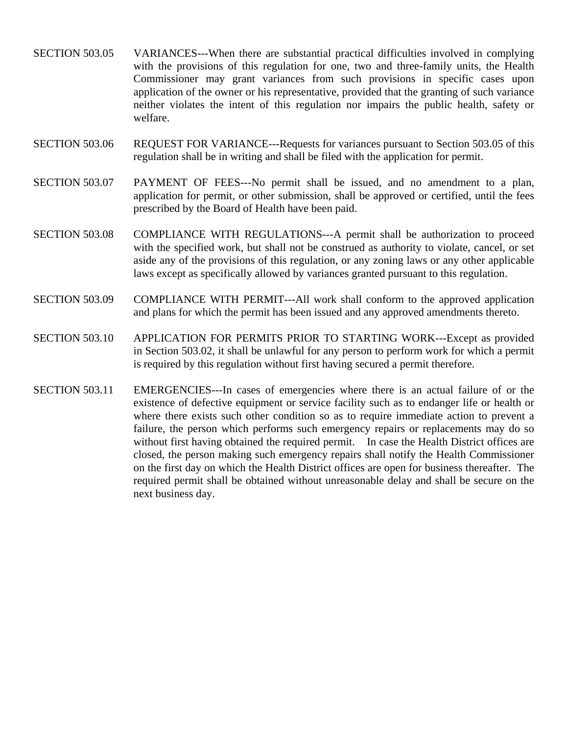- SECTION 503.05 VARIANCES---When there are substantial practical difficulties involved in complying with the provisions of this regulation for one, two and three-family units, the Health Commissioner may grant variances from such provisions in specific cases upon application of the owner or his representative, provided that the granting of such variance neither violates the intent of this regulation nor impairs the public health, safety or welfare.
- SECTION 503.06 REQUEST FOR VARIANCE---Requests for variances pursuant to Section 503.05 of this regulation shall be in writing and shall be filed with the application for permit.
- SECTION 503.07 PAYMENT OF FEES---No permit shall be issued, and no amendment to a plan, application for permit, or other submission, shall be approved or certified, until the fees prescribed by the Board of Health have been paid.
- SECTION 503.08 COMPLIANCE WITH REGULATIONS---A permit shall be authorization to proceed with the specified work, but shall not be construed as authority to violate, cancel, or set aside any of the provisions of this regulation, or any zoning laws or any other applicable laws except as specifically allowed by variances granted pursuant to this regulation.
- SECTION 503.09 COMPLIANCE WITH PERMIT---All work shall conform to the approved application and plans for which the permit has been issued and any approved amendments thereto.
- SECTION 503.10 APPLICATION FOR PERMITS PRIOR TO STARTING WORK---Except as provided in Section 503.02, it shall be unlawful for any person to perform work for which a permit is required by this regulation without first having secured a permit therefore.
- SECTION 503.11 EMERGENCIES---In cases of emergencies where there is an actual failure of or the existence of defective equipment or service facility such as to endanger life or health or where there exists such other condition so as to require immediate action to prevent a failure, the person which performs such emergency repairs or replacements may do so without first having obtained the required permit. In case the Health District offices are closed, the person making such emergency repairs shall notify the Health Commissioner on the first day on which the Health District offices are open for business thereafter. The required permit shall be obtained without unreasonable delay and shall be secure on the next business day.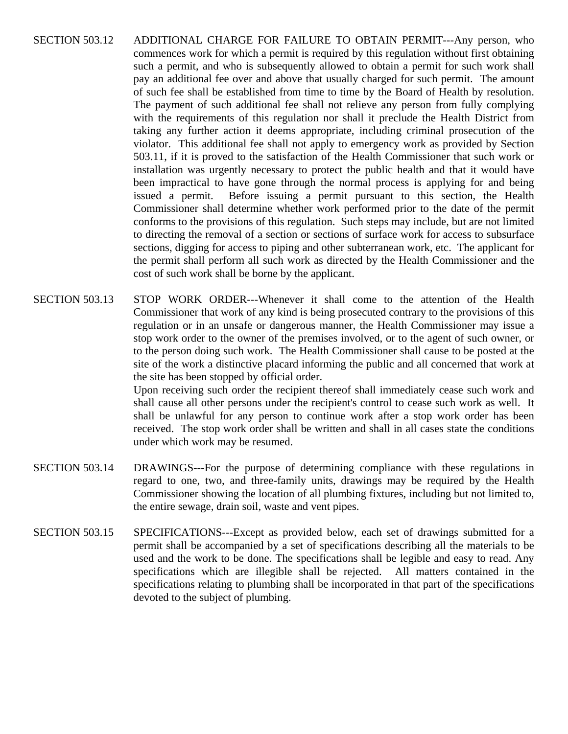- SECTION 503.12 ADDITIONAL CHARGE FOR FAILURE TO OBTAIN PERMIT---Any person, who commences work for which a permit is required by this regulation without first obtaining such a permit, and who is subsequently allowed to obtain a permit for such work shall pay an additional fee over and above that usually charged for such permit. The amount of such fee shall be established from time to time by the Board of Health by resolution. The payment of such additional fee shall not relieve any person from fully complying with the requirements of this regulation nor shall it preclude the Health District from taking any further action it deems appropriate, including criminal prosecution of the violator. This additional fee shall not apply to emergency work as provided by Section 503.11, if it is proved to the satisfaction of the Health Commissioner that such work or installation was urgently necessary to protect the public health and that it would have been impractical to have gone through the normal process is applying for and being issued a permit. Before issuing a permit pursuant to this section, the Health Commissioner shall determine whether work performed prior to the date of the permit conforms to the provisions of this regulation. Such steps may include, but are not limited to directing the removal of a section or sections of surface work for access to subsurface sections, digging for access to piping and other subterranean work, etc. The applicant for the permit shall perform all such work as directed by the Health Commissioner and the cost of such work shall be borne by the applicant.
- SECTION 503.13 STOP WORK ORDER---Whenever it shall come to the attention of the Health Commissioner that work of any kind is being prosecuted contrary to the provisions of this regulation or in an unsafe or dangerous manner, the Health Commissioner may issue a stop work order to the owner of the premises involved, or to the agent of such owner, or to the person doing such work. The Health Commissioner shall cause to be posted at the site of the work a distinctive placard informing the public and all concerned that work at the site has been stopped by official order. Upon receiving such order the recipient thereof shall immediately cease such work and shall cause all other persons under the recipient's control to cease such work as well. It shall be unlawful for any person to continue work after a stop work order has been
- SECTION 503.14 DRAWINGS---For the purpose of determining compliance with these regulations in regard to one, two, and three-family units, drawings may be required by the Health Commissioner showing the location of all plumbing fixtures, including but not limited to, the entire sewage, drain soil, waste and vent pipes.

under which work may be resumed.

received. The stop work order shall be written and shall in all cases state the conditions

SECTION 503.15 SPECIFICATIONS---Except as provided below, each set of drawings submitted for a permit shall be accompanied by a set of specifications describing all the materials to be used and the work to be done. The specifications shall be legible and easy to read. Any specifications which are illegible shall be rejected. All matters contained in the specifications relating to plumbing shall be incorporated in that part of the specifications devoted to the subject of plumbing.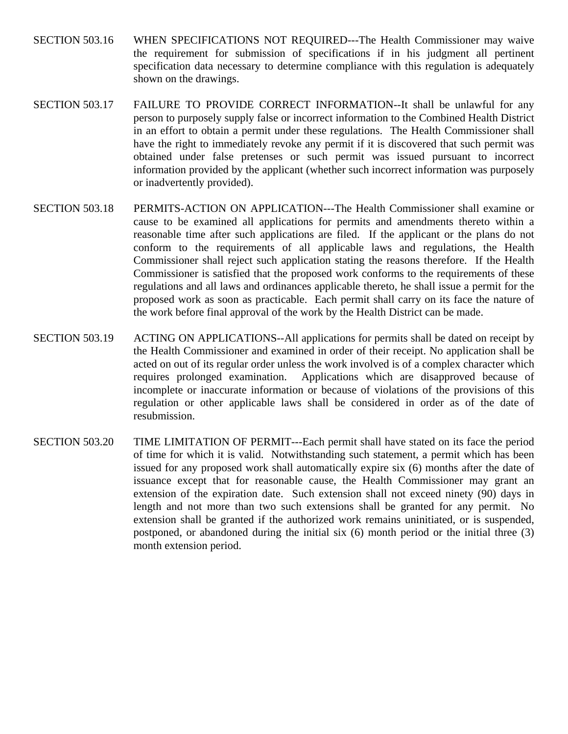- SECTION 503.16 WHEN SPECIFICATIONS NOT REQUIRED---The Health Commissioner may waive the requirement for submission of specifications if in his judgment all pertinent specification data necessary to determine compliance with this regulation is adequately shown on the drawings.
- SECTION 503.17 FAILURE TO PROVIDE CORRECT INFORMATION--It shall be unlawful for any person to purposely supply false or incorrect information to the Combined Health District in an effort to obtain a permit under these regulations. The Health Commissioner shall have the right to immediately revoke any permit if it is discovered that such permit was obtained under false pretenses or such permit was issued pursuant to incorrect information provided by the applicant (whether such incorrect information was purposely or inadvertently provided).
- SECTION 503.18 PERMITS-ACTION ON APPLICATION---The Health Commissioner shall examine or cause to be examined all applications for permits and amendments thereto within a reasonable time after such applications are filed. If the applicant or the plans do not conform to the requirements of all applicable laws and regulations, the Health Commissioner shall reject such application stating the reasons therefore. If the Health Commissioner is satisfied that the proposed work conforms to the requirements of these regulations and all laws and ordinances applicable thereto, he shall issue a permit for the proposed work as soon as practicable. Each permit shall carry on its face the nature of the work before final approval of the work by the Health District can be made.
- SECTION 503.19 ACTING ON APPLICATIONS--All applications for permits shall be dated on receipt by the Health Commissioner and examined in order of their receipt. No application shall be acted on out of its regular order unless the work involved is of a complex character which requires prolonged examination. Applications which are disapproved because of incomplete or inaccurate information or because of violations of the provisions of this regulation or other applicable laws shall be considered in order as of the date of resubmission.
- SECTION 503.20 TIME LIMITATION OF PERMIT---Each permit shall have stated on its face the period of time for which it is valid. Notwithstanding such statement, a permit which has been issued for any proposed work shall automatically expire six (6) months after the date of issuance except that for reasonable cause, the Health Commissioner may grant an extension of the expiration date. Such extension shall not exceed ninety (90) days in length and not more than two such extensions shall be granted for any permit. No extension shall be granted if the authorized work remains uninitiated, or is suspended, postponed, or abandoned during the initial six (6) month period or the initial three (3) month extension period.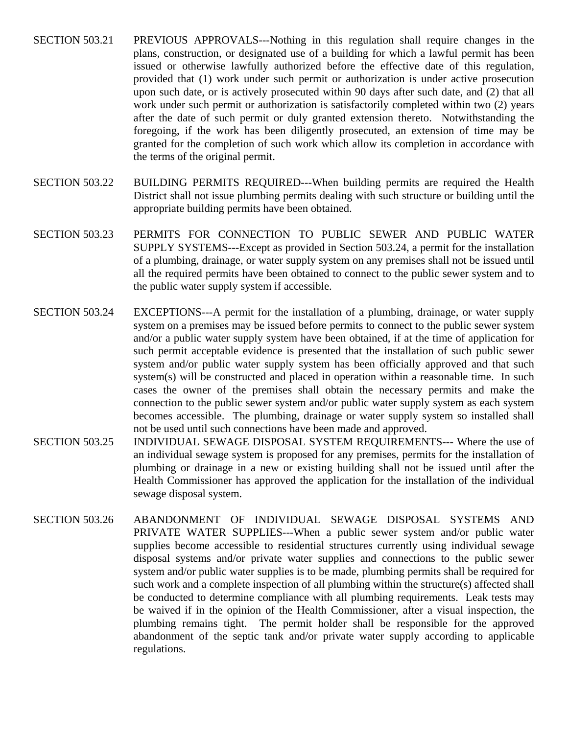- SECTION 503.21 PREVIOUS APPROVALS---Nothing in this regulation shall require changes in the plans, construction, or designated use of a building for which a lawful permit has been issued or otherwise lawfully authorized before the effective date of this regulation, provided that (1) work under such permit or authorization is under active prosecution upon such date, or is actively prosecuted within 90 days after such date, and (2) that all work under such permit or authorization is satisfactorily completed within two (2) years after the date of such permit or duly granted extension thereto. Notwithstanding the foregoing, if the work has been diligently prosecuted, an extension of time may be granted for the completion of such work which allow its completion in accordance with the terms of the original permit.
- SECTION 503.22 BUILDING PERMITS REQUIRED---When building permits are required the Health District shall not issue plumbing permits dealing with such structure or building until the appropriate building permits have been obtained.
- SECTION 503.23 PERMITS FOR CONNECTION TO PUBLIC SEWER AND PUBLIC WATER SUPPLY SYSTEMS---Except as provided in Section 503.24, a permit for the installation of a plumbing, drainage, or water supply system on any premises shall not be issued until all the required permits have been obtained to connect to the public sewer system and to the public water supply system if accessible.
- SECTION 503.24 EXCEPTIONS---A permit for the installation of a plumbing, drainage, or water supply system on a premises may be issued before permits to connect to the public sewer system and/or a public water supply system have been obtained, if at the time of application for such permit acceptable evidence is presented that the installation of such public sewer system and/or public water supply system has been officially approved and that such system(s) will be constructed and placed in operation within a reasonable time. In such cases the owner of the premises shall obtain the necessary permits and make the connection to the public sewer system and/or public water supply system as each system becomes accessible. The plumbing, drainage or water supply system so installed shall not be used until such connections have been made and approved.
- SECTION 503.25 INDIVIDUAL SEWAGE DISPOSAL SYSTEM REQUIREMENTS--- Where the use of an individual sewage system is proposed for any premises, permits for the installation of plumbing or drainage in a new or existing building shall not be issued until after the Health Commissioner has approved the application for the installation of the individual sewage disposal system.
- SECTION 503.26 ABANDONMENT OF INDIVIDUAL SEWAGE DISPOSAL SYSTEMS AND PRIVATE WATER SUPPLIES---When a public sewer system and/or public water supplies become accessible to residential structures currently using individual sewage disposal systems and/or private water supplies and connections to the public sewer system and/or public water supplies is to be made, plumbing permits shall be required for such work and a complete inspection of all plumbing within the structure(s) affected shall be conducted to determine compliance with all plumbing requirements. Leak tests may be waived if in the opinion of the Health Commissioner, after a visual inspection, the plumbing remains tight. The permit holder shall be responsible for the approved abandonment of the septic tank and/or private water supply according to applicable regulations.